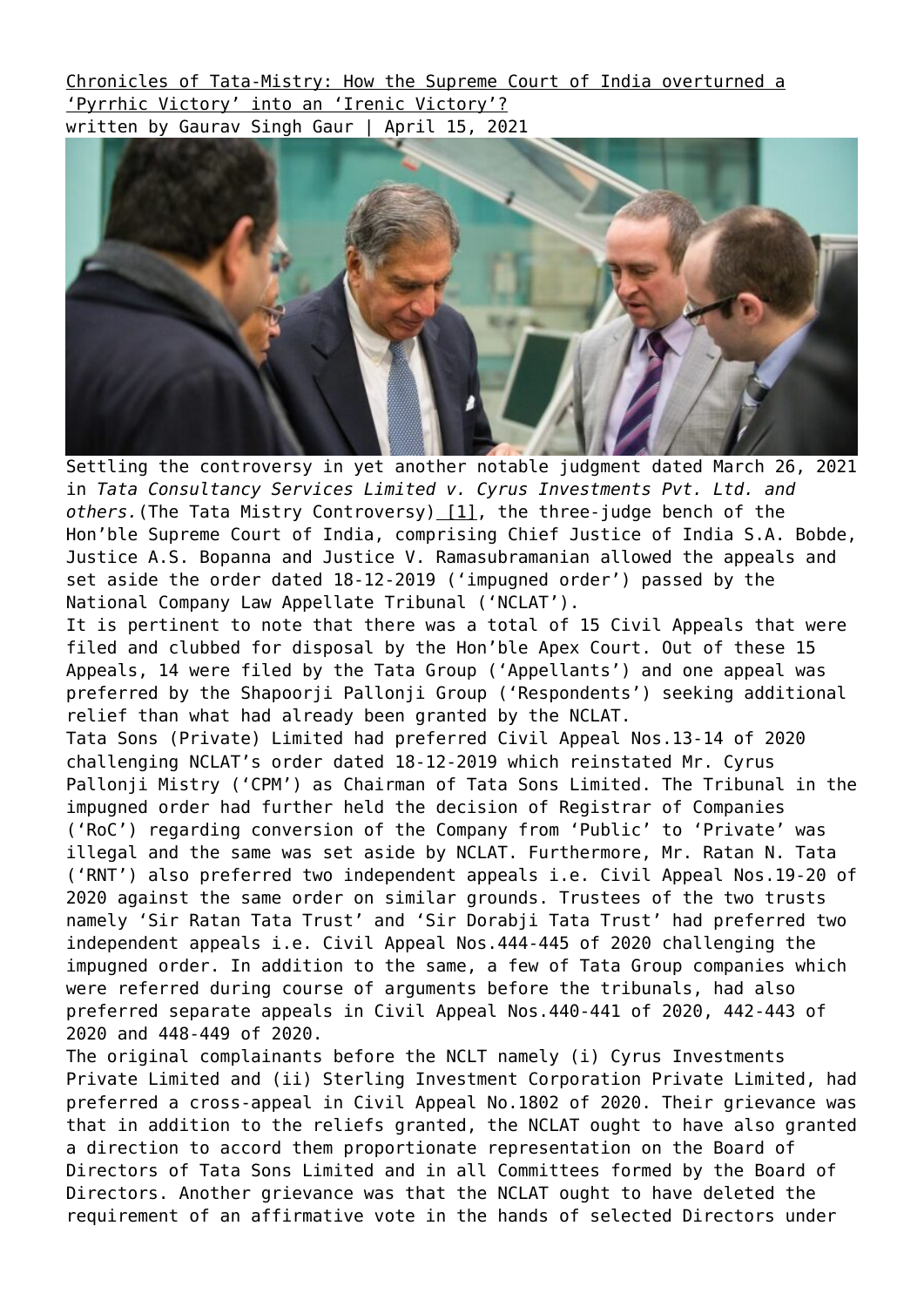[Chronicles of Tata-Mistry: How the Supreme Court of India overturned a](https://ksandk.com/litigation/the-tata-mistry-controversy/) ['Pyrrhic Victory' into an 'Irenic Victory'?](https://ksandk.com/litigation/the-tata-mistry-controversy/) written by Gaurav Singh Gaur | April 15, 2021



Settling the controversy in yet another notable judgment dated March 26. 2021 in *Tata Consultancy Services Limited v. Cyrus Investments Pvt. Ltd. and* others. (The Tata Mistry Controversy) [\[1\]](#page--1-0), the three-judge bench of the Hon'ble Supreme Court of India, comprising Chief Justice of India S.A. Bobde, Justice A.S. Bopanna and Justice V. Ramasubramanian allowed the appeals and set aside the order dated 18-12-2019 ('impugned order') passed by the National Company Law Appellate Tribunal ('NCLAT').

It is pertinent to note that there was a total of 15 Civil Appeals that were filed and clubbed for disposal by the Hon'ble Apex Court. Out of these 15 Appeals, 14 were filed by the Tata Group ('Appellants') and one appeal was preferred by the Shapoorji Pallonji Group ('Respondents') seeking additional relief than what had already been granted by the NCLAT.

Tata Sons (Private) Limited had preferred Civil Appeal Nos.13-14 of 2020 challenging NCLAT's order dated 18-12-2019 which reinstated Mr. Cyrus Pallonji Mistry ('CPM') as Chairman of Tata Sons Limited. The Tribunal in the impugned order had further held the decision of Registrar of Companies ('RoC') regarding conversion of the Company from 'Public' to 'Private' was illegal and the same was set aside by NCLAT. Furthermore, Mr. Ratan N. Tata ('RNT') also preferred two independent appeals i.e. Civil Appeal Nos.19-20 of 2020 against the same order on similar grounds. Trustees of the two trusts namely 'Sir Ratan Tata Trust' and 'Sir Dorabji Tata Trust' had preferred two independent appeals i.e. Civil Appeal Nos.444-445 of 2020 challenging the impugned order. In addition to the same, a few of Tata Group companies which were referred during course of arguments before the tribunals, had also preferred separate appeals in Civil Appeal Nos.440-441 of 2020, 442-443 of 2020 and 448-449 of 2020.

The original complainants before the NCLT namely (i) Cyrus Investments Private Limited and (ii) Sterling Investment Corporation Private Limited, had preferred a cross-appeal in Civil Appeal No.1802 of 2020. Their grievance was that in addition to the reliefs granted, the NCLAT ought to have also granted a direction to accord them proportionate representation on the Board of Directors of Tata Sons Limited and in all Committees formed by the Board of Directors. Another grievance was that the NCLAT ought to have deleted the requirement of an affirmative vote in the hands of selected Directors under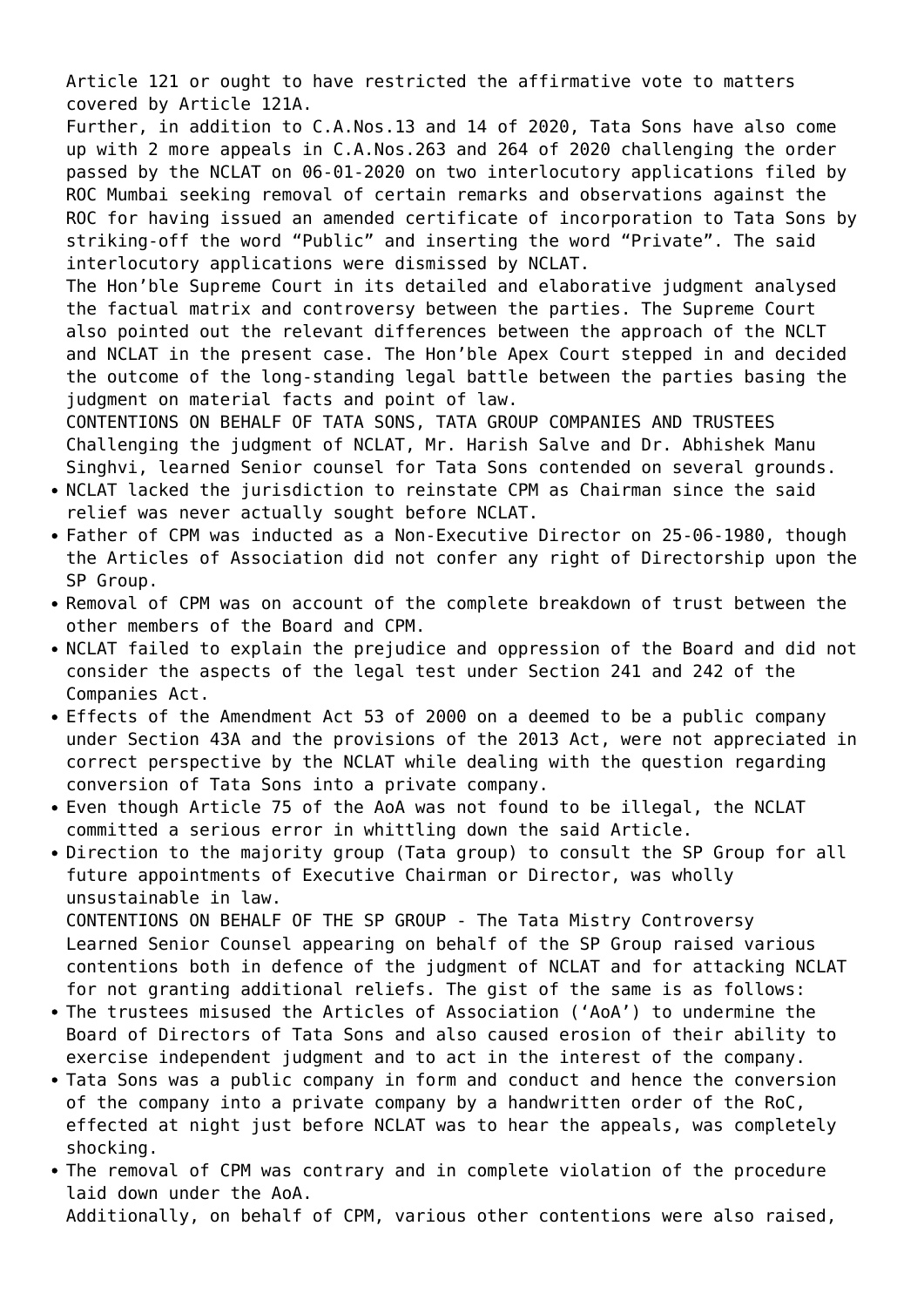Article 121 or ought to have restricted the affirmative vote to matters covered by Article 121A.

Further, in addition to C.A.Nos.13 and 14 of 2020, Tata Sons have also come up with 2 more appeals in C.A.Nos.263 and 264 of 2020 challenging the order passed by the NCLAT on 06-01-2020 on two interlocutory applications filed by ROC Mumbai seeking removal of certain remarks and observations against the ROC for having issued an amended certificate of incorporation to Tata Sons by striking-off the word "Public" and inserting the word "Private". The said interlocutory applications were dismissed by NCLAT.

The Hon'ble Supreme Court in its detailed and elaborative judgment analysed the factual matrix and controversy between the parties. The Supreme Court also pointed out the relevant differences between the approach of the NCLT and NCLAT in the present case. The Hon'ble Apex Court stepped in and decided the outcome of the long-standing legal battle between the parties basing the judgment on material facts and point of law.

CONTENTIONS ON BEHALF OF TATA SONS, TATA GROUP COMPANIES AND TRUSTEES Challenging the judgment of NCLAT, Mr. Harish Salve and Dr. Abhishek Manu Singhvi, learned Senior counsel for Tata Sons contended on several grounds.

- NCLAT lacked the jurisdiction to reinstate CPM as Chairman since the said relief was never actually sought before NCLAT.
- Father of CPM was inducted as a Non-Executive Director on 25-06-1980, though the Articles of Association did not confer any right of Directorship upon the SP Group.
- Removal of CPM was on account of the complete breakdown of trust between the other members of the Board and CPM.
- NCLAT failed to explain the prejudice and oppression of the Board and did not consider the aspects of the legal test under Section 241 and 242 of the Companies Act.
- Effects of the Amendment Act 53 of 2000 on a deemed to be a public company under Section 43A and the provisions of the 2013 Act, were not appreciated in correct perspective by the NCLAT while dealing with the question regarding conversion of Tata Sons into a private company.
- Even though Article 75 of the AoA was not found to be illegal, the NCLAT committed a serious error in whittling down the said Article.
- Direction to the majority group (Tata group) to consult the SP Group for all future appointments of Executive Chairman or Director, was wholly unsustainable in law. CONTENTIONS ON BEHALF OF THE SP GROUP - The Tata Mistry Controversy Learned Senior Counsel appearing on behalf of the SP Group raised various

contentions both in defence of the judgment of NCLAT and for attacking NCLAT for not granting additional reliefs. The gist of the same is as follows:

- The trustees misused the Articles of Association ('AoA') to undermine the Board of Directors of Tata Sons and also caused erosion of their ability to exercise independent judgment and to act in the interest of the company.
- Tata Sons was a public company in form and conduct and hence the conversion of the company into a private company by a handwritten order of the RoC, effected at night just before NCLAT was to hear the appeals, was completely shocking.
- The removal of CPM was contrary and in complete violation of the procedure laid down under the AoA. Additionally, on behalf of CPM, various other contentions were also raised,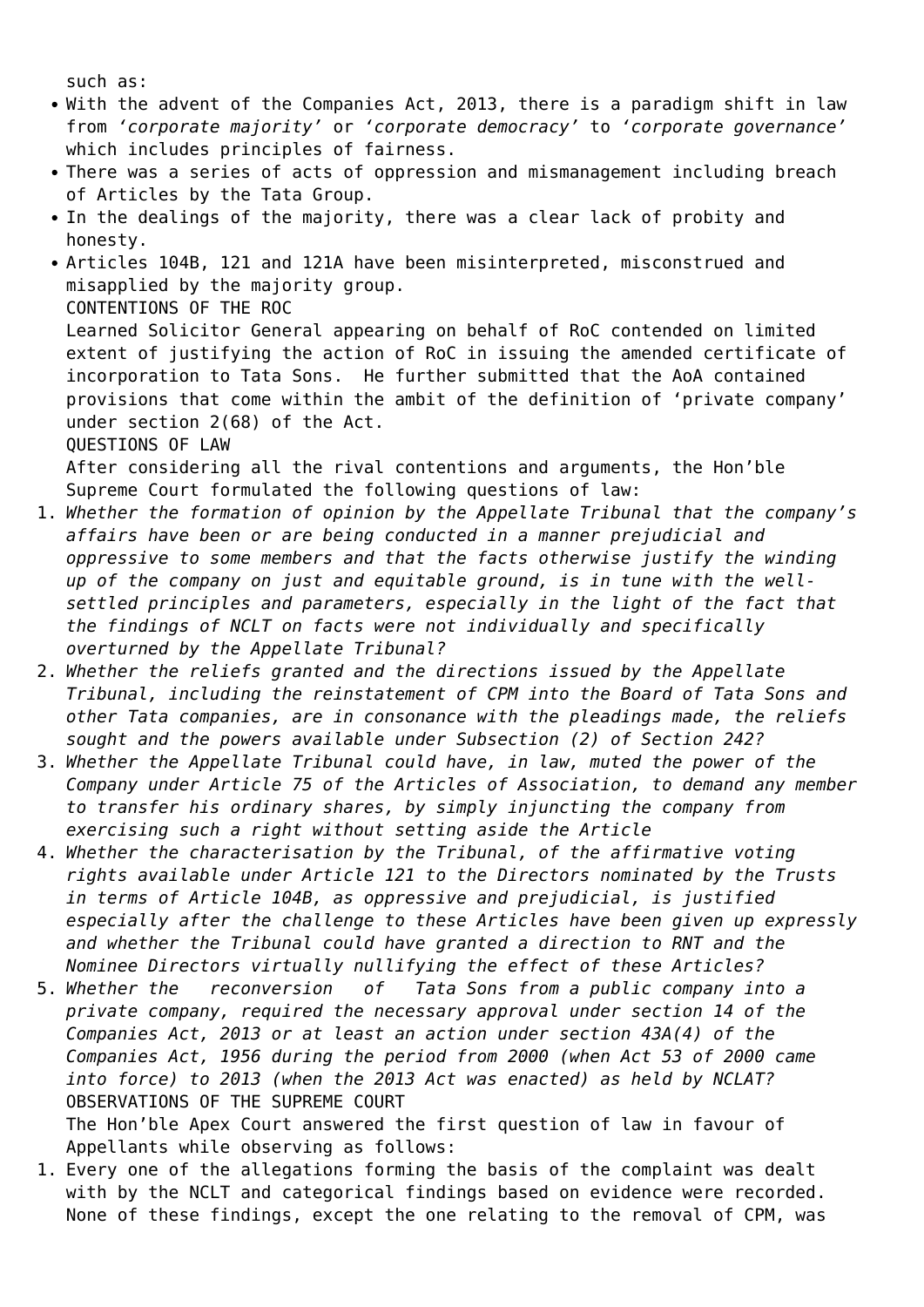such as:

- With the advent of the Companies Act, 2013, there is a paradigm shift in law from *'corporate majority'* or *'corporate democracy'* to *'corporate governance'* which includes principles of fairness.
- There was a series of acts of oppression and mismanagement including breach of Articles by the Tata Group.
- In the dealings of the majority, there was a clear lack of probity and honesty.
- Articles 104B, 121 and 121A have been misinterpreted, misconstrued and misapplied by the majority group.

CONTENTIONS OF THE ROC

Learned Solicitor General appearing on behalf of RoC contended on limited extent of justifying the action of RoC in issuing the amended certificate of incorporation to Tata Sons. He further submitted that the AoA contained provisions that come within the ambit of the definition of 'private company' under section 2(68) of the Act.

QUESTIONS OF LAW

After considering all the rival contentions and arguments, the Hon'ble Supreme Court formulated the following questions of law:

- 1. *Whether the formation of opinion by the Appellate Tribunal that the company's affairs have been or are being conducted in a manner prejudicial and oppressive to some members and that the facts otherwise justify the winding up of the company on just and equitable ground, is in tune with the wellsettled principles and parameters, especially in the light of the fact that the findings of NCLT on facts were not individually and specifically overturned by the Appellate Tribunal?*
- 2. *Whether the reliefs granted and the directions issued by the Appellate Tribunal, including the reinstatement of CPM into the Board of Tata Sons and other Tata companies, are in consonance with the pleadings made, the reliefs sought and the powers available under Subsection (2) of Section 242?*
- 3. *Whether the Appellate Tribunal could have, in law, muted the power of the Company under Article 75 of the Articles of Association, to demand any member to transfer his ordinary shares, by simply injuncting the company from exercising such a right without setting aside the Article*
- 4. *Whether the characterisation by the Tribunal, of the affirmative voting rights available under Article 121 to the Directors nominated by the Trusts in terms of Article 104B, as oppressive and prejudicial, is justified especially after the challenge to these Articles have been given up expressly and whether the Tribunal could have granted a direction to RNT and the Nominee Directors virtually nullifying the effect of these Articles?*
- 5. *Whether the reconversion of Tata Sons from a public company into a private company, required the necessary approval under section 14 of the Companies Act, 2013 or at least an action under section 43A(4) of the Companies Act, 1956 during the period from 2000 (when Act 53 of 2000 came into force) to 2013 (when the 2013 Act was enacted) as held by NCLAT?* OBSERVATIONS OF THE SUPREME COURT The Hon'ble Apex Court answered the first question of law in favour of

Appellants while observing as follows:

1. Every one of the allegations forming the basis of the complaint was dealt with by the NCLT and categorical findings based on evidence were recorded. None of these findings, except the one relating to the removal of CPM, was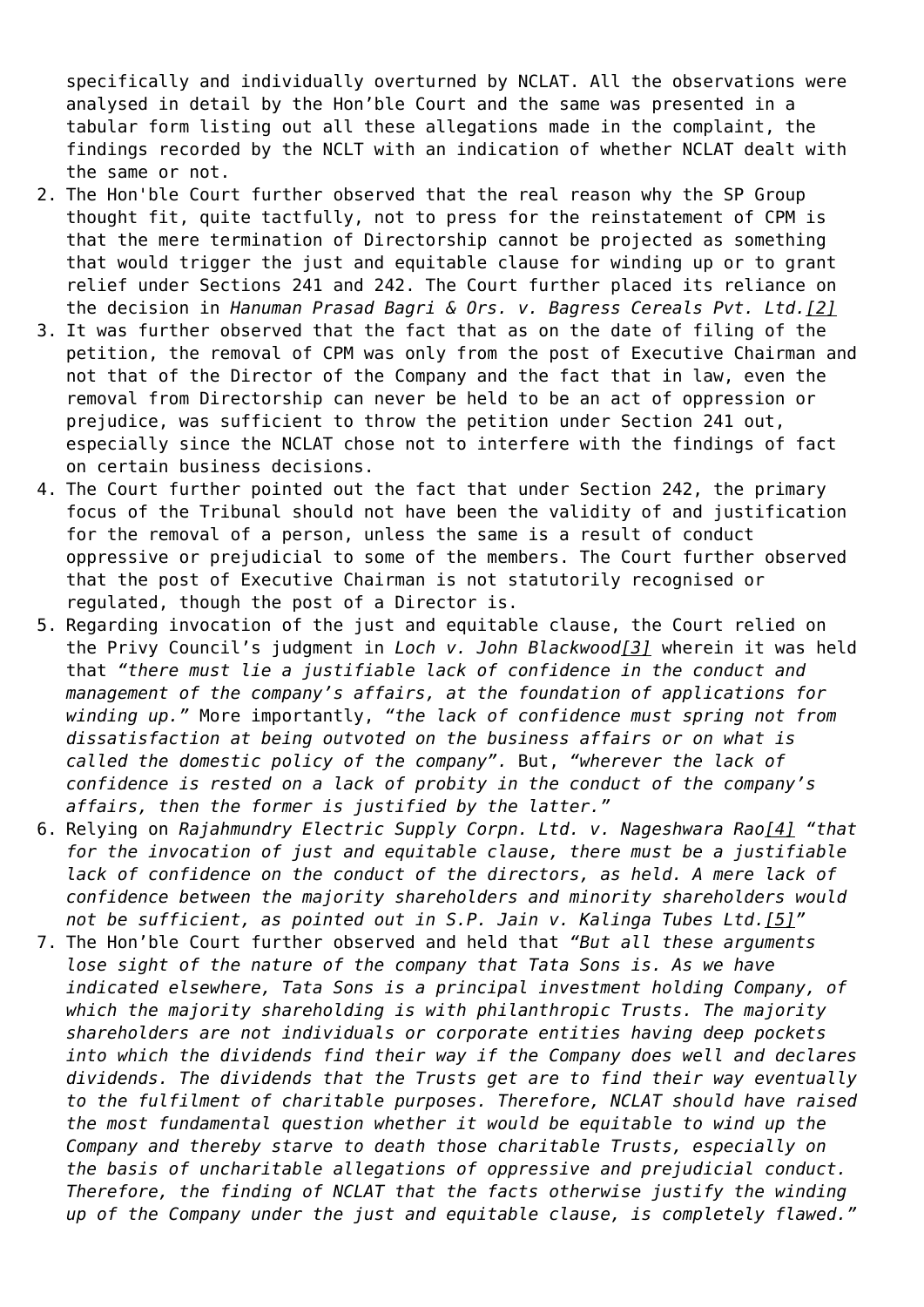specifically and individually overturned by NCLAT. All the observations were analysed in detail by the Hon'ble Court and the same was presented in a tabular form listing out all these allegations made in the complaint, the findings recorded by the NCLT with an indication of whether NCLAT dealt with the same or not.

- 2. The Hon'ble Court further observed that the real reason why the SP Group thought fit, quite tactfully, not to press for the reinstatement of CPM is that the mere termination of Directorship cannot be projected as something that would trigger the just and equitable clause for winding up or to grant relief under Sections 241 and 242. The Court further placed its reliance on the decision in *Hanuman Prasad Bagri & Ors. v. Bagress Cereals Pvt. Ltd[.\[2\]](#page--1-0)*
- 3. It was further observed that the fact that as on the date of filing of the petition, the removal of CPM was only from the post of Executive Chairman and not that of the Director of the Company and the fact that in law, even the removal from Directorship can never be held to be an act of oppression or prejudice, was sufficient to throw the petition under Section 241 out, especially since the NCLAT chose not to interfere with the findings of fact on certain business decisions.
- 4. The Court further pointed out the fact that under Section 242, the primary focus of the Tribunal should not have been the validity of and justification for the removal of a person, unless the same is a result of conduct oppressive or prejudicial to some of the members. The Court further observed that the post of Executive Chairman is not statutorily recognised or regulated, though the post of a Director is.
- 5. Regarding invocation of the just and equitable clause, the Court relied on the Privy Council's judgment in *Loch v. John Blackwoo[d\[3\]](#page--1-0)* wherein it was held that *"there must lie a justifiable lack of confidence in the conduct and management of the company's affairs, at the foundation of applications for winding up."* More importantly, *"the lack of confidence must spring not from dissatisfaction at being outvoted on the business affairs or on what is called the domestic policy of the company".* But, *"wherever the lack of confidence is rested on a lack of probity in the conduct of the company's affairs, then the former is justified by the latter."*
- 6. Relying on *Rajahmundry Electric Supply Corpn. Ltd. v. Nageshwara Rao[\[4\]](#page--1-0) "that for the invocation of just and equitable clause, there must be a justifiable lack of confidence on the conduct of the directors, as held. A mere lack of confidence between the majority shareholders and minority shareholders would not be sufficient, as pointed out in S.P. Jain v. Kalinga Tubes Ltd.[\[5\]"](#page--1-0)*
- 7. The Hon'ble Court further observed and held that *"But all these arguments lose sight of the nature of the company that Tata Sons is. As we have indicated elsewhere, Tata Sons is a principal investment holding Company, of which the majority shareholding is with philanthropic Trusts. The majority shareholders are not individuals or corporate entities having deep pockets into which the dividends find their way if the Company does well and declares dividends. The dividends that the Trusts get are to find their way eventually to the fulfilment of charitable purposes. Therefore, NCLAT should have raised the most fundamental question whether it would be equitable to wind up the Company and thereby starve to death those charitable Trusts, especially on the basis of uncharitable allegations of oppressive and prejudicial conduct. Therefore, the finding of NCLAT that the facts otherwise justify the winding up of the Company under the just and equitable clause, is completely flawed."*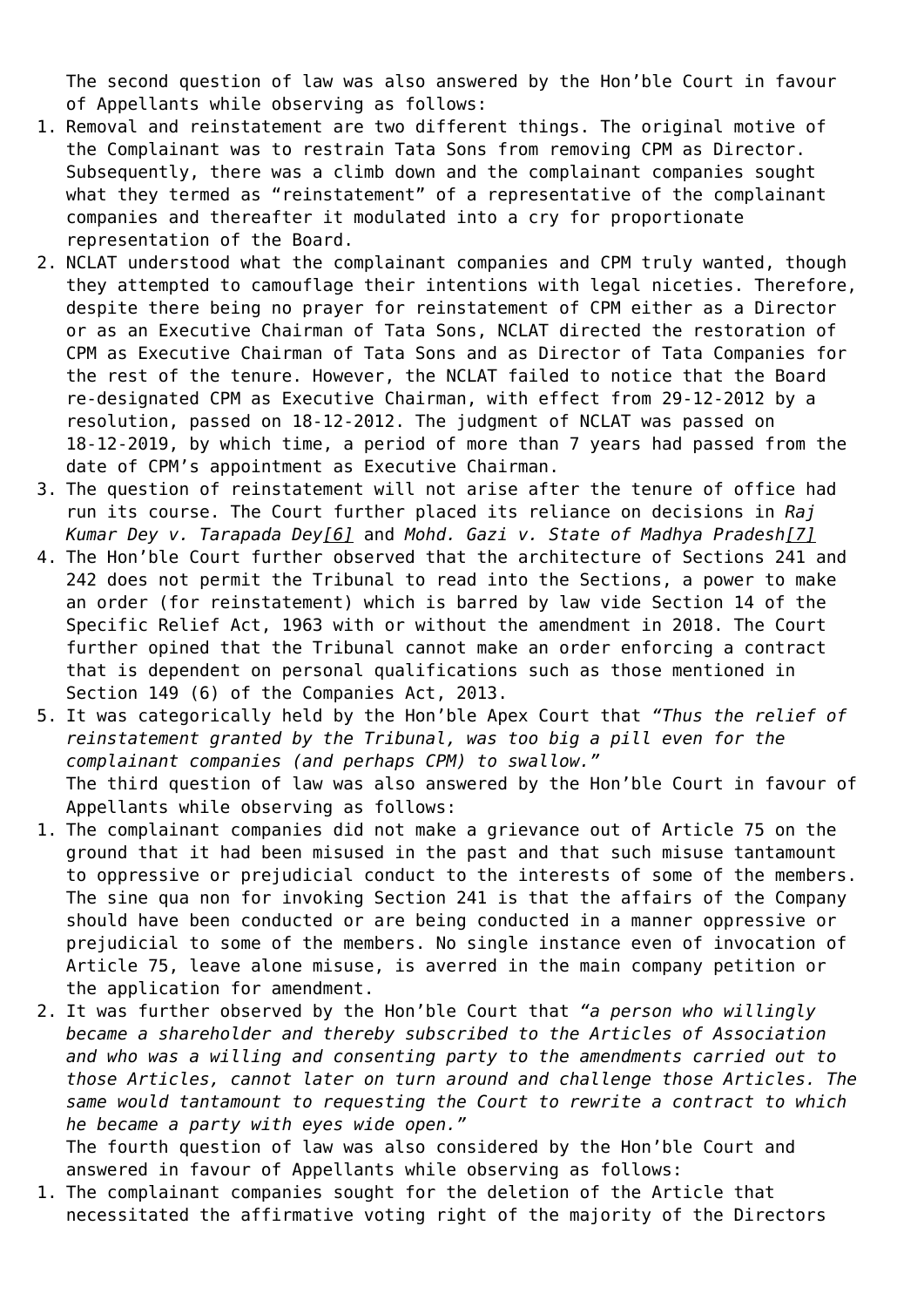The second question of law was also answered by the Hon'ble Court in favour of Appellants while observing as follows:

- 1. Removal and reinstatement are two different things. The original motive of the Complainant was to restrain Tata Sons from removing CPM as Director. Subsequently, there was a climb down and the complainant companies sought what they termed as "reinstatement" of a representative of the complainant companies and thereafter it modulated into a cry for proportionate representation of the Board.
- 2. NCLAT understood what the complainant companies and CPM truly wanted, though they attempted to camouflage their intentions with legal niceties. Therefore, despite there being no prayer for reinstatement of CPM either as a Director or as an Executive Chairman of Tata Sons, NCLAT directed the restoration of CPM as Executive Chairman of Tata Sons and as Director of Tata Companies for the rest of the tenure. However, the NCLAT failed to notice that the Board re-designated CPM as Executive Chairman, with effect from 29-12-2012 by a resolution, passed on 18-12-2012. The judgment of NCLAT was passed on 18-12-2019, by which time, a period of more than 7 years had passed from the date of CPM's appointment as Executive Chairman.
- 3. The question of reinstatement will not arise after the tenure of office had run its course. The Court further placed its reliance on decisions in *Raj Kumar Dey v. Tarapada De[y\[6\]](#page--1-0)* and *Mohd. Gazi v. State of Madhya Prades[h\[7\]](#page--1-0)*
- 4. The Hon'ble Court further observed that the architecture of Sections 241 and 242 does not permit the Tribunal to read into the Sections, a power to make an order (for reinstatement) which is barred by law vide Section 14 of the Specific Relief Act, 1963 with or without the amendment in 2018. The Court further opined that the Tribunal cannot make an order enforcing a contract that is dependent on personal qualifications such as those mentioned in Section 149 (6) of the Companies Act, 2013.
- 5. It was categorically held by the Hon'ble Apex Court that *"Thus the relief of reinstatement granted by the Tribunal, was too big a pill even for the complainant companies (and perhaps CPM) to swallow."* The third question of law was also answered by the Hon'ble Court in favour of Appellants while observing as follows:
- 1. The complainant companies did not make a grievance out of Article 75 on the ground that it had been misused in the past and that such misuse tantamount to oppressive or prejudicial conduct to the interests of some of the members. The sine qua non for invoking Section 241 is that the affairs of the Company should have been conducted or are being conducted in a manner oppressive or prejudicial to some of the members. No single instance even of invocation of Article 75, leave alone misuse, is averred in the main company petition or the application for amendment.
- 2. It was further observed by the Hon'ble Court that *"a person who willingly became a shareholder and thereby subscribed to the Articles of Association and who was a willing and consenting party to the amendments carried out to those Articles, cannot later on turn around and challenge those Articles. The same would tantamount to requesting the Court to rewrite a contract to which he became a party with eyes wide open."*

The fourth question of law was also considered by the Hon'ble Court and answered in favour of Appellants while observing as follows:

1. The complainant companies sought for the deletion of the Article that necessitated the affirmative voting right of the majority of the Directors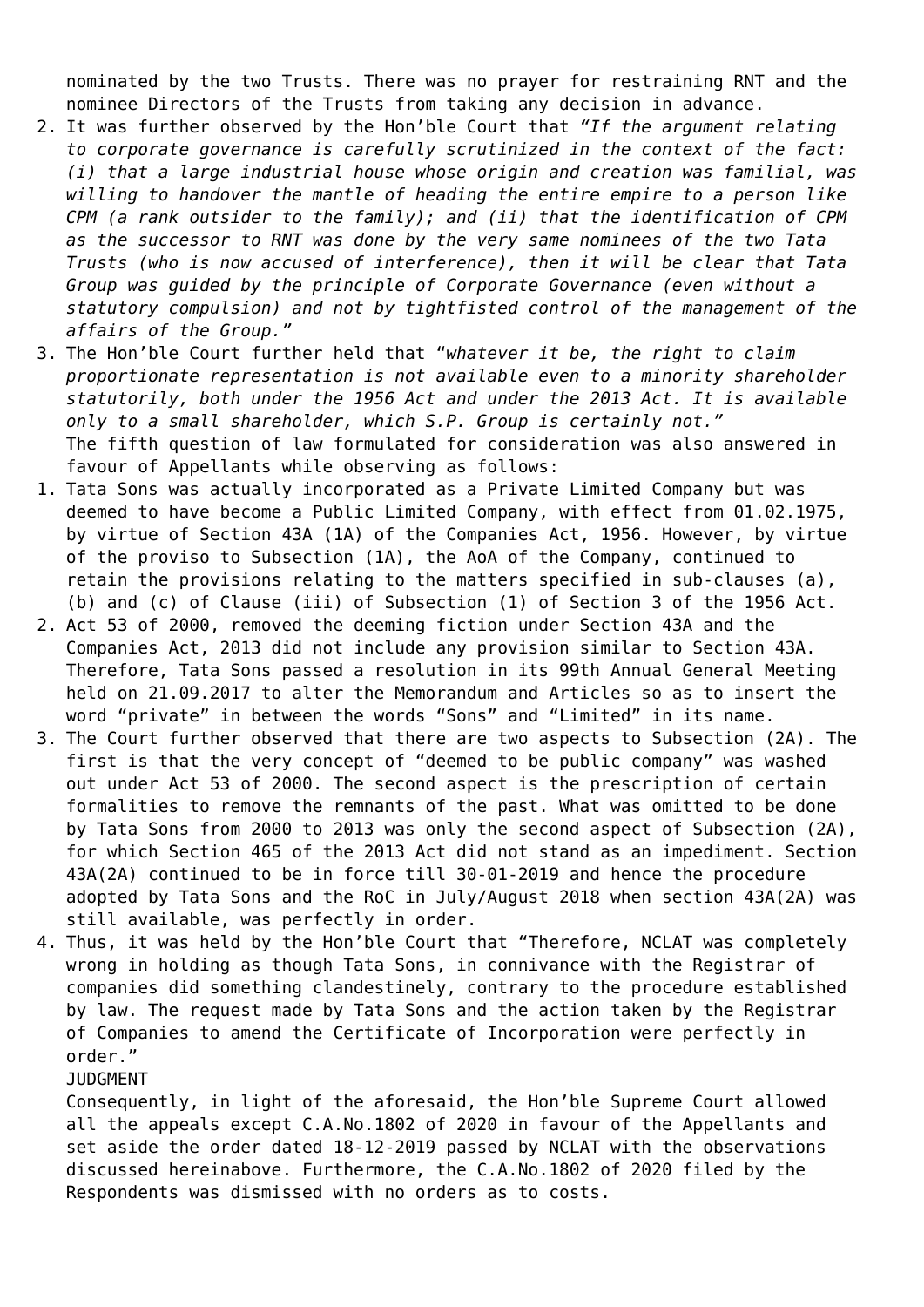nominated by the two Trusts. There was no prayer for restraining RNT and the nominee Directors of the Trusts from taking any decision in advance.

- 2. It was further observed by the Hon'ble Court that *"If the argument relating to corporate governance is carefully scrutinized in the context of the fact: (i) that a large industrial house whose origin and creation was familial, was willing to handover the mantle of heading the entire empire to a person like CPM (a rank outsider to the family); and (ii) that the identification of CPM as the successor to RNT was done by the very same nominees of the two Tata Trusts (who is now accused of interference), then it will be clear that Tata Group was guided by the principle of Corporate Governance (even without a statutory compulsion) and not by tightfisted control of the management of the affairs of the Group."*
- 3. The Hon'ble Court further held that "*whatever it be, the right to claim proportionate representation is not available even to a minority shareholder statutorily, both under the 1956 Act and under the 2013 Act. It is available only to a small shareholder, which S.P. Group is certainly not."* The fifth question of law formulated for consideration was also answered in favour of Appellants while observing as follows:
- 1. Tata Sons was actually incorporated as a Private Limited Company but was deemed to have become a Public Limited Company, with effect from 01.02.1975, by virtue of Section 43A (1A) of the Companies Act, 1956. However, by virtue of the proviso to Subsection (1A), the AoA of the Company, continued to retain the provisions relating to the matters specified in sub-clauses (a), (b) and (c) of Clause (iii) of Subsection (1) of Section 3 of the 1956 Act.
- 2. Act 53 of 2000, removed the deeming fiction under Section 43A and the Companies Act, 2013 did not include any provision similar to Section 43A. Therefore, Tata Sons passed a resolution in its 99th Annual General Meeting held on 21.09.2017 to alter the Memorandum and Articles so as to insert the word "private" in between the words "Sons" and "Limited" in its name.
- 3. The Court further observed that there are two aspects to Subsection (2A). The first is that the very concept of "deemed to be public company" was washed out under Act 53 of 2000. The second aspect is the prescription of certain formalities to remove the remnants of the past. What was omitted to be done by Tata Sons from 2000 to 2013 was only the second aspect of Subsection (2A), for which Section 465 of the 2013 Act did not stand as an impediment. Section 43A(2A) continued to be in force till 30-01-2019 and hence the procedure adopted by Tata Sons and the RoC in July/August 2018 when section 43A(2A) was still available, was perfectly in order.
- 4. Thus, it was held by the Hon'ble Court that "Therefore, NCLAT was completely wrong in holding as though Tata Sons, in connivance with the Registrar of companies did something clandestinely, contrary to the procedure established by law. The request made by Tata Sons and the action taken by the Registrar of Companies to amend the Certificate of Incorporation were perfectly in order."

JUDGMENT

Consequently, in light of the aforesaid, the Hon'ble Supreme Court allowed all the appeals except C.A.No.1802 of 2020 in favour of the Appellants and set aside the order dated 18-12-2019 passed by NCLAT with the observations discussed hereinabove. Furthermore, the C.A.No.1802 of 2020 filed by the Respondents was dismissed with no orders as to costs.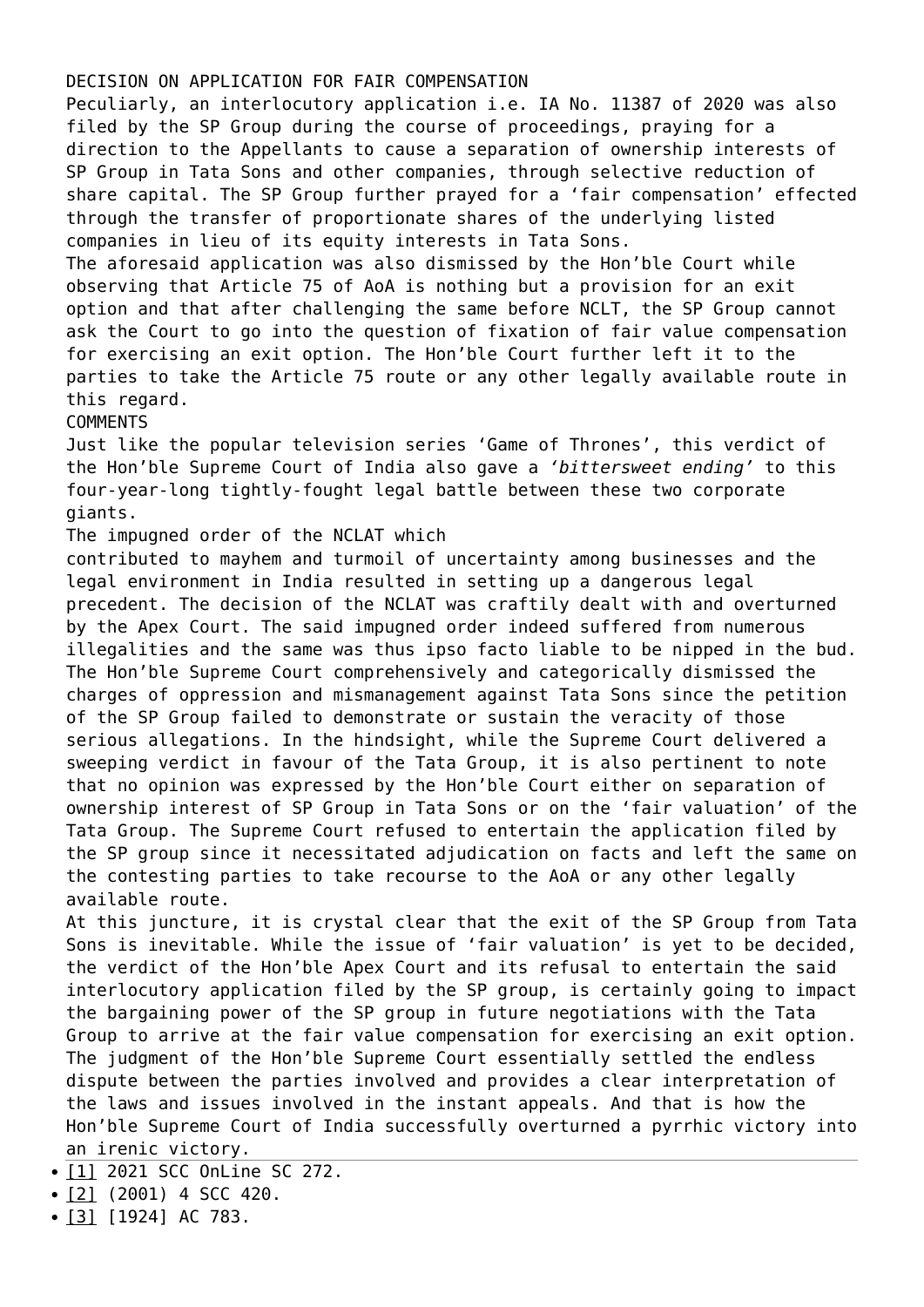## DECISION ON APPLICATION FOR FAIR COMPENSATION

Peculiarly, an interlocutory application i.e. IA No. 11387 of 2020 was also filed by the SP Group during the course of proceedings, praying for a direction to the Appellants to cause a separation of ownership interests of SP Group in Tata Sons and other companies, through selective reduction of share capital. The SP Group further prayed for a 'fair compensation' effected through the transfer of proportionate shares of the underlying listed companies in lieu of its equity interests in Tata Sons.

The aforesaid application was also dismissed by the Hon'ble Court while observing that Article 75 of AoA is nothing but a provision for an exit option and that after challenging the same before NCLT, the SP Group cannot ask the Court to go into the question of fixation of fair value compensation for exercising an exit option. The Hon'ble Court further left it to the parties to take the Article 75 route or any other legally available route in this regard.

## **COMMENTS**

Just like the popular television series 'Game of Thrones', this verdict of the Hon'ble Supreme Court of India also gave a *'bittersweet ending'* to this four-year-long tightly-fought legal battle between these two corporate giants.

## The impugned order of the NCLAT which

contributed to mayhem and turmoil of uncertainty among businesses and the legal environment in India resulted in setting up a dangerous legal precedent. The decision of the NCLAT was craftily dealt with and overturned by the Apex Court. The said impugned order indeed suffered from numerous illegalities and the same was thus ipso facto liable to be nipped in the bud. The Hon'ble Supreme Court comprehensively and categorically dismissed the charges of oppression and mismanagement against Tata Sons since the petition of the SP Group failed to demonstrate or sustain the veracity of those serious allegations. In the hindsight, while the Supreme Court delivered a sweeping verdict in favour of the Tata Group, it is also pertinent to note that no opinion was expressed by the Hon'ble Court either on separation of ownership interest of SP Group in Tata Sons or on the 'fair valuation' of the Tata Group. The Supreme Court refused to entertain the application filed by the SP group since it necessitated adjudication on facts and left the same on the contesting parties to take recourse to the AoA or any other legally available route.

At this juncture, it is crystal clear that the exit of the SP Group from Tata Sons is inevitable. While the issue of 'fair valuation' is yet to be decided, the verdict of the Hon'ble Apex Court and its refusal to entertain the said interlocutory application filed by the SP group, is certainly going to impact the bargaining power of the SP group in future negotiations with the Tata Group to arrive at the fair value compensation for exercising an exit option. The judgment of the Hon'ble Supreme Court essentially settled the endless dispute between the parties involved and provides a clear interpretation of the laws and issues involved in the instant appeals. And that is how the Hon'ble Supreme Court of India successfully overturned a pyrrhic victory into an irenic victory.

- [\[1\]](#page--1-0) 2021 SCC OnLine SC 272.
- $\bullet$  [\[2\]](#page--1-0) (2001) 4 SCC 420.
- $\bullet$  [\[3\]](#page--1-0) [1924] AC 783.